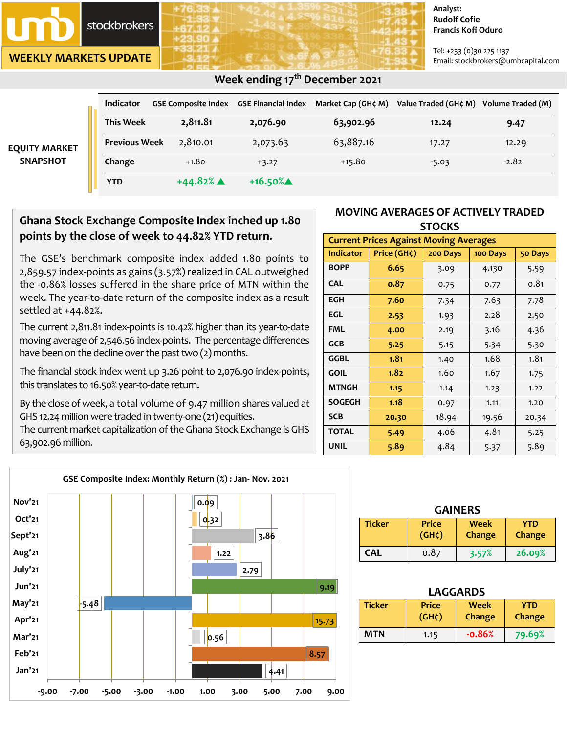

**WEEKLY MARKETS UPDATE**

#### **Analyst: Rudolf Cofie Francis Kofi Oduro**

Tel: +233 (0)30 225 1137 Email: stockbrokers@umbcapital.com

|                                         | Indicator            | <b>GSE Composite Index GSE Financial Index</b> |            | Market Cap (GH¢ M) | Value Traded (GH¢ M) Volume Traded (M) |         |
|-----------------------------------------|----------------------|------------------------------------------------|------------|--------------------|----------------------------------------|---------|
| <b>EQUITY MARKET</b><br><b>SNAPSHOT</b> | <b>This Week</b>     | 2,811.81                                       | 2,076.90   | 63,902.96          | 12.24                                  | 9.47    |
|                                         | <b>Previous Week</b> | 2,810.01                                       | 2,073.63   | 63,887.16          | 17.27                                  | 12.29   |
|                                         | Change               | $+1.80$                                        | $+3.27$    | $+15.80$           | $-5.03$                                | $-2.82$ |
|                                         | <b>YTD</b>           | $+44.82%$ $\triangle$                          | $+16.50\%$ |                    |                                        |         |

### **Week ending 17 th December 2021**

# **Ghana Stock Exchange Composite Index inched up 1.80 points by the close of week to 44.82% YTD return.**

The GSE's benchmark composite index added 1.80 points to 2,859.57 index-points as gains (3.57%) realized in CAL outweighed the -0.86% losses suffered in the share price of MTN within the week. The year-to-date return of the composite index as a result settled at +44.82%.

The current 2,811.81 index-points is 10.42% higher than its year-to-date moving average of 2,546.56 index-points. The percentage differences have been on the decline over the past two  $(2)$  months.

The financial stock index went up 3.26 point to 2,076.90 index-points, this translates to 16.50% year-to-date return.

By the close of week, a total volume of 9.47 million shares valued at GHS 12.24 million were traded in twenty-one (21) equities.

The current market capitalization of the Ghana Stock Exchange is GHS 63,902.96 million.



| <b>Current Prices Against Moving Averages</b> |             |          |          |         |  |  |
|-----------------------------------------------|-------------|----------|----------|---------|--|--|
| <b>Indicator</b>                              | Price (GH¢) | 200 Days | 100 Days | 50 Days |  |  |
| <b>BOPP</b>                                   | 6.65        | 3.09     | 4.130    | 5.59    |  |  |
| <b>CAL</b>                                    | 0.87        | 0.75     | 0.77     | 0.81    |  |  |
| <b>EGH</b>                                    | 7.60        | 7.34     | 7.63     | 7.78    |  |  |
| EGL                                           | 2.53        | 1.93     | 2.28     | 2.50    |  |  |
| <b>FML</b>                                    | 4.00        | 2.19     | 3.16     | 4.36    |  |  |
| <b>GCB</b>                                    | 5.25        | 5.15     | 5.34     | 5.30    |  |  |
| <b>GGBL</b>                                   | 1.81        | 1.40     | 1.68     | 1.81    |  |  |
| <b>GOIL</b>                                   | 1.82        | 1.60     | 1.67     | 1.75    |  |  |
| <b>MTNGH</b>                                  | 1.15        | 1.14     | 1.23     | 1.22    |  |  |
| <b>SOGEGH</b>                                 | 1.18        | 0.97     | 1.11     | 1.20    |  |  |
| <b>SCB</b>                                    | 20.30       | 18.94    | 19.56    | 20.34   |  |  |
| <b>TOTAL</b>                                  | 5.49        | 4.06     | 4.81     | 5.25    |  |  |
| <b>UNIL</b>                                   | 5.89        | 4.84     | 5.37     | 5.89    |  |  |



| <b>GAINERS</b> |                                    |                |                             |  |
|----------------|------------------------------------|----------------|-----------------------------|--|
| <b>Ticker</b>  | <b>Price</b><br>(GH <sub>c</sub> ) | Week<br>Change | <b>YTD</b><br><b>Change</b> |  |
| <b>CAL</b>     | 0.87                               | 3.57%          | 26.09%                      |  |

| LAGGARDS      |                             |                       |                      |  |
|---------------|-----------------------------|-----------------------|----------------------|--|
| <b>Ticker</b> | <b>Price</b><br>$(GH\zeta)$ | <b>Week</b><br>Change | <b>YTD</b><br>Change |  |
| MTN           | 1.15                        | $-0.86%$              | 79.69%               |  |